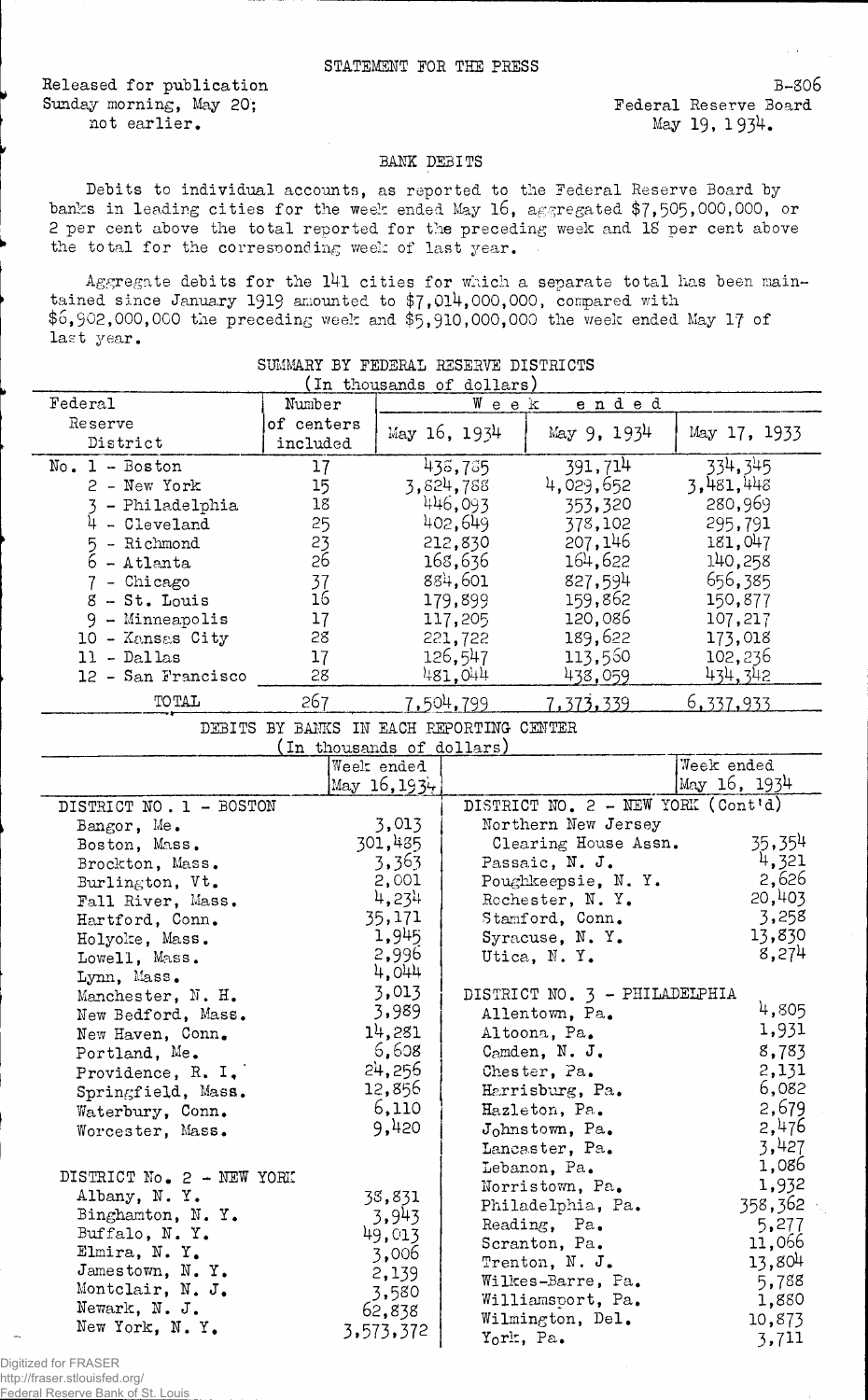Released for publication Sunday morning, May 20; not earlier.

B-806 Federal Reserve Board May 19, 1934.

## BANK DEBITS

Debits to individual accounts, as reported to the Federal Reserve Board by banks in leading cities for the week ended May 16, aggregated \$7,505,000,000, or 2 per cent above the total reported for the preceding week and IS per cent above the total for the corresponding week of last year.

Aggregate debits for the l4l cities for which a separate total has been maintained since January 1919 amounted to  $\frac{1}{4}$ , 014, 000, 000, compared with  $$6,902,000,000$  the preceding week and  $$5,910,000,000$  the week ended May 17 of last year.

| In thousands of dollars)                 |            |                |                    |                                    |                  |  |  |  |
|------------------------------------------|------------|----------------|--------------------|------------------------------------|------------------|--|--|--|
| Federal                                  | Number     |                |                    | ended<br>Week                      |                  |  |  |  |
| Reserve                                  | of centers |                | May 16, 1934       | May 9, 1934                        |                  |  |  |  |
| District                                 | included   |                |                    |                                    | May 17, 1933     |  |  |  |
| $No. 1 - Boston$                         | 17         |                | 438,735            | 391,714                            | 334,345          |  |  |  |
| 2 - New York                             | 15         |                | 3,824,788          | 4,029,652                          | 3,481,448        |  |  |  |
| 3 - Philadelphia                         | 18         |                | 446,093            | 353,320                            | 280,969          |  |  |  |
| $4 - Cleveland$                          | 25         |                | 402,649            | 378,102                            | 295,791          |  |  |  |
| 5 - Richmond                             | 23         |                | 212,830            | 207,146                            | 181,047          |  |  |  |
| $6 -$ Atlanta                            | 26         |                | 168,636            | 164,622                            | 140,258          |  |  |  |
| 7 - Chicago                              | 37         |                | 884,601            | 827,594                            | 656,385          |  |  |  |
| 8 - St. Louis                            | 16         |                | 179,899            | 159,862                            | 150,877          |  |  |  |
| 9 - Minneapolis                          | 17         |                | 117,205            | 120,086                            | 107,217          |  |  |  |
| 10 - Kansas City                         | 28         | 221,722        |                    | 189,622                            | 173,018          |  |  |  |
| $11 - Dal$ las                           | 17         |                | 126,547            | 113,560                            | 102,236          |  |  |  |
| 12 - San Francisco                       | 28         |                | 481,044            | 438,059                            | 434, 342         |  |  |  |
| <b>TOTAL</b>                             | 267        |                | 7.504.799          | 7,373,339                          | <u>6,337,933</u> |  |  |  |
| DEBITS BY BANKS IN EACH REPORTING CENTER |            |                |                    |                                    |                  |  |  |  |
| (In thousands of dollars)                |            |                |                    |                                    |                  |  |  |  |
|                                          |            | Week ended     |                    |                                    | Week ended       |  |  |  |
|                                          |            | May $16, 1934$ |                    |                                    | May 16, 1934     |  |  |  |
| DISTRICT NO. 1 - BOSTON                  |            |                |                    | DISTRICT NO. 2 - NEW YORK (Cont'd) |                  |  |  |  |
| Bangor, Me.                              |            | 3,013          |                    | Northern New Jersey                |                  |  |  |  |
| Boston, Mass.                            |            | 301,435        |                    | Clearing House Assn.               | 35,354           |  |  |  |
| Brockton, Mass.                          | 3,363      |                |                    | Passaic, N. J.                     | 4,321            |  |  |  |
| Burlington, Vt.                          | 2,001      |                | Poughkeepsie, N.Y. |                                    | 2,626            |  |  |  |
| Fall River, Mass.                        | 4,234      |                |                    | Rochester, N.Y.                    | 20,403           |  |  |  |
| Hartford, Conn.                          | 35,171     |                | Stamford, Conn.    |                                    | 3,258            |  |  |  |
| Holyoke, Mass.                           | 1,945      |                | Syracuse, N.Y.     |                                    | 13,830           |  |  |  |
| Lowell, Mass.                            | 2,996      |                |                    | Utica, N.Y.                        | 8,274            |  |  |  |
| Lynn, Mass.                              |            | 4,044          |                    |                                    |                  |  |  |  |
| Manchester, N. H.                        | 3,013      |                |                    | DISTRICT NO. 3 - PHILADELPHIA      |                  |  |  |  |
| New Bedford, Mass.                       | 3,989      |                | Allentown, Pa.     |                                    | 4,805            |  |  |  |
| New Haven, Conn.                         | 14,281     |                | Altoona, Pa.       |                                    | 1,931            |  |  |  |
| Portland, Me.                            | 6,608      |                | Camden, N. J.      |                                    | 8,783            |  |  |  |
| Providence, R. I.                        |            | 24,256         |                    | Chester, Pa.                       | 2,131            |  |  |  |
| Springfield, Mass.                       |            | 12,856         |                    | Harrisburg, Pa.                    | 6,082            |  |  |  |
| Waterbury, Conn.                         |            | 6,110          |                    | Hazleton, Pa.                      | 2,679            |  |  |  |
| Worcester, Mass.                         |            | 9,420          |                    | Johnstown, Pa.                     | 2,476            |  |  |  |
|                                          |            |                |                    | Lancaster, Pa.                     | 3,427            |  |  |  |
| DISTRICT No. 2 - NEW YORK                |            |                |                    | Lebanon, Pa.                       | 1,086            |  |  |  |
| Albany, N.Y.                             |            |                |                    | Norristown, Pa.                    | 1,932            |  |  |  |
| Binghamton, N.Y.                         | 38,831     |                |                    | Philadelphia, Pa.                  | 358,362          |  |  |  |
| Buffalo, N.Y.                            |            | 3,943          |                    | Reading, Pa.                       | 5,277            |  |  |  |
| Elmira, N.Y.                             |            | 49,013         |                    | Scranton, Pa.                      | 11,066           |  |  |  |
| Jamestown, N.Y.                          |            | 3,006          |                    | Trenton, N. J.                     | 13,804           |  |  |  |
| Montclair, N. J.                         |            | 2,139          |                    | Wilkes-Barre, Pa.                  | 5,788            |  |  |  |
| Newark, N. J.                            |            | 3,580          |                    | Williamsport, Pa.                  | 1,880            |  |  |  |
| New York, N.Y.                           |            | 62,838         |                    | Wilmington, Del.                   | 10,873           |  |  |  |
|                                          |            | 3,573,372      |                    | York, Pa.                          | 3,711            |  |  |  |

## SUMMARY BY FEDERAL RESERVE DISTRICTS

Digitized for FRASER http://fraser.stlouisfed.org/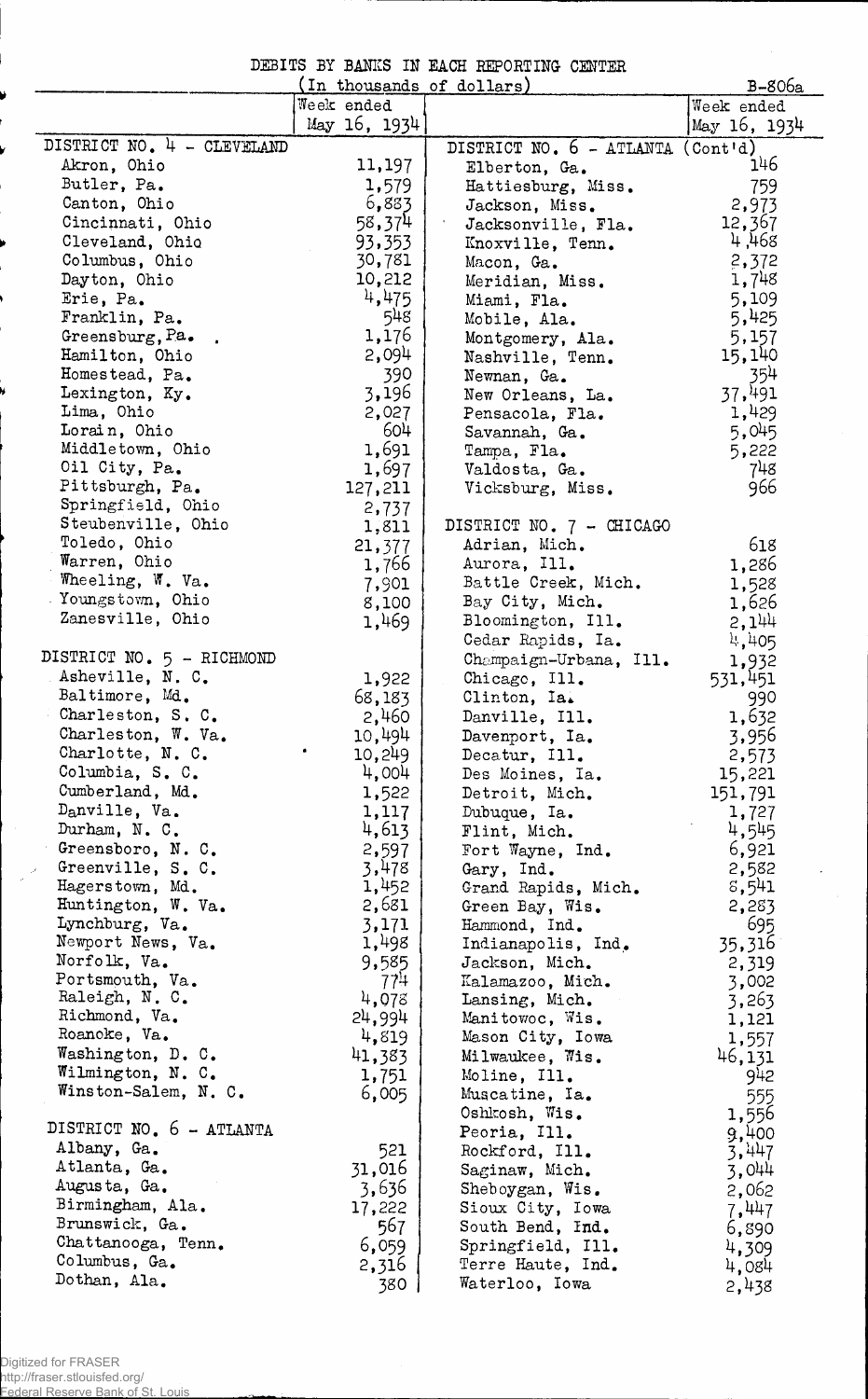DIBITS BY BANKS IN EACH REPORTING CENTER

|                            | In thousands of dollars) |                          | B-806a                |
|----------------------------|--------------------------|--------------------------|-----------------------|
|                            | Week ended               |                          | Week ended            |
|                            | May 16, 1934             |                          | May 16, 1934          |
| DISTRICT NO. 4 - CLEVELAND |                          | DISTRICT NO. 6 - ATLANTA | (Cont <sup>1</sup> d) |
| Akron, Ohio                | 11,197                   |                          | 146                   |
| Butler, Pa.                |                          | Elberton, Ga.            |                       |
|                            | 1,579                    | Hattiesburg, Miss.       | 759                   |
| Canton, Ohio               | 6,883                    | Jackson, Miss.           | 2,973                 |
| Cincinnati, Ohio           | 58,374                   | Jacksonville, Fla.       | 12,367                |
| Cleveland, Ohio            | 93,353                   | Knoxville, Tenn.         | 4,468                 |
| Columbus, Ohio             | 30,781                   | Macon, Ga.               | 2,372                 |
| Dayton, Ohio               | 10,212                   | Meridian, Miss.          | 1,748                 |
| Erie, Pa.                  | 4,475                    | Miami, Fla.              | 5,109                 |
| Franklin, Pa.              | 548                      | Mobile, Ala.             | 5,425                 |
| Greensburg, Pa.            | 1,176                    | Montgomery, Ala.         | 5,157                 |
| Hamilton, Ohio             | 2,094                    |                          | 15,140                |
|                            |                          | Nashville, Tenn.         |                       |
| Homestead, Pa.             | 390                      | Newnan, Ga.              | 354                   |
| Lexington, Ky.             | 3,196                    | New Orleans, La.         | 37,491                |
| Lima, Ohio                 | 2,027                    | Pensacola, Fla.          | 1,429                 |
| Lorain, Ohio               | 604                      | Savannah, Ga.            | 5,045                 |
| Middletown, Ohio           | 1,691                    | Tampa, Fla.              | 5,222                 |
| Oil City, Pa.              | 1,697                    | Valdosta, Ga.            | 748                   |
| Pittsburgh, Pa.            | 127,211                  | Vicksburg, Miss.         | 966                   |
| Springfield, Ohio          | 2,737                    |                          |                       |
| Steubenville, Ohio         | 1,811                    | DISTRICT NO. 7 - CHICAGO |                       |
| Toledo, Ohio               |                          |                          | 618                   |
| Warren, Ohio               | 21,377                   | Adrian, Mich.            |                       |
|                            | 1,766                    | Aurora, Ill.             | 1,286                 |
| Wheeling, W. Va.           | 7,901                    | Battle Creek, Mich.      | 1,528                 |
| Youngstown, Ohio           | 8,100                    | Bay City, Mich.          | 1,626                 |
| Zanesville, Ohio           | 1,469                    | Bloomington, Ill.        | 2,144                 |
|                            |                          | Cedar Rapids, Ia.        | 4,405                 |
| DISTRICT NO. 5 - RICHMOND  |                          | Champaign-Urbana, Ill.   | 1,932                 |
| Asheville, N. C.           | 1,922                    | Chicago, Ill.            | 531,451               |
| Baltimore, Md.             | 68,183                   | Clinton, Ia.             | 990                   |
| Charleston, S. C.          | 2,460                    | Danville, Ill.           | 1,632                 |
| Charleston, W. Va.         |                          |                          |                       |
|                            | 10,494                   | Davenport, Ia.           | 3,956                 |
| Charlotte, N. C.           | 10,249                   | Decatur, Ill.            | 2,573                 |
| Columbia, S. C.            | 4,004                    | Des Moines, Ia.          | 15,221                |
| Cumberland, Md.            | 1,522                    | Detroit, Mich.           | 151,791               |
| Danville, Va.              | 1,117                    | Dubuque, Ia.             | 1,727                 |
| Durham, N. C.              | 4,613                    | Flint, Mich.             | 4,545                 |
| Greensboro, N. C.          | 2,597                    | Fort Wayne, Ind.         | 6,921                 |
| Greenville, S. C.          | 3,478                    | Gary, Ind.               | 2,582                 |
| Hagerstown, Md.            | 1,452                    | Grand Rapids, Mich.      | 8,541                 |
| Huntington, W. Va.         | 2,681                    | Green Bay, Wis.          | 2,283                 |
| Lynchburg, Va.             | 3,171                    | Hammond, Ind.            | 695                   |
| Newport News, Va.          | 1,498                    |                          |                       |
| Norfolk, Va.               |                          | Indianapolis, Ind.       | 35,316                |
|                            | 9,585                    | Jackson, Mich.           | 2,319                 |
| Portsmouth, Va.            | 77 <sup>11</sup>         | Kalamazoo, Mich.         | 3,002                 |
| Raleigh, N.C.              | 4,078                    | Lansing, Mich.           | 3,263                 |
| Richmond, Va.              | 24,994                   | Manitowoc, Wis.          | 1,121                 |
| Roanoke, Va.               | 4,819                    | Mason City, Iowa         | 1,557                 |
| Washington, D. C.          | 41,383                   | Milwaukee, Wis.          | 46,131                |
| Wilmington, N. C.          | 1,751                    | Moline, Ill.             | 942                   |
| Winston-Salem, N. C.       | 6,005                    | Muscatine, Ia.           | 555                   |
|                            |                          | Oshkosh, Wis.            | 1,556                 |
| DISTRICT NO. 6 - ATLANTA   |                          | Peoria, Ill.             | 9,400                 |
| Albany, Ga.                | 521                      |                          |                       |
| Atlanta, Ga.               |                          | Rockford, Ill.           | 3,447                 |
|                            | 31,016                   | Saginaw, Mich.           | 3,044                 |
| Augusta, Ga.               | 3,636                    | Sheboygan, Wis.          | 2,062                 |
| Birmingham, Ala.           | 17,222                   | Sioux City, Iowa         | 7,447                 |
| Brunswick, Ga.             | 567                      | South Bend, Ind.         | 6,890                 |
| Chattanooga, Tenn.         | 6,059                    | Springfield, Ill.        | 4,309                 |
| Columbus, Ga.              | 2,316                    | Terre Haute, Ind.        | 4,084                 |
| Dothan, Ala.               | 380                      | Waterloo, Iowa           | 2,438                 |

 $\sim$